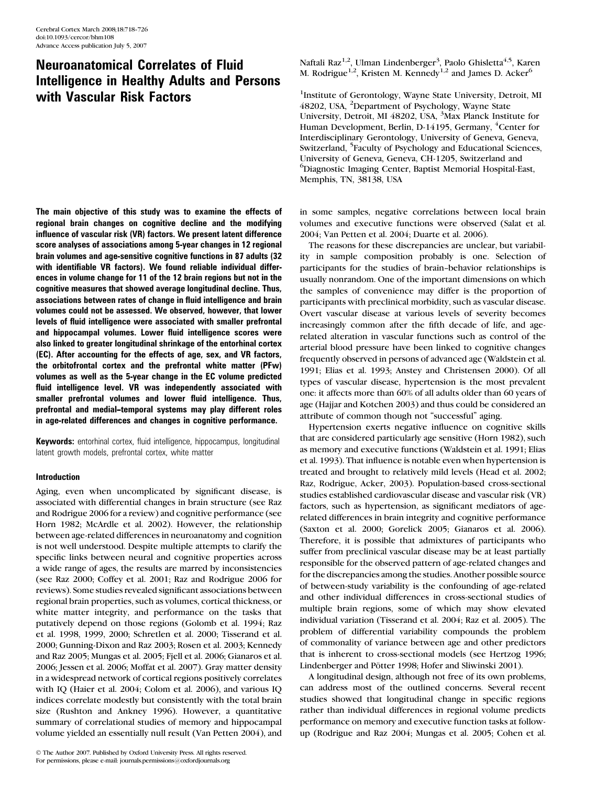# Neuroanatomical Correlates of Fluid Intelligence in Healthy Adults and Persons with Vascular Risk Factors

The main objective of this study was to examine the effects of regional brain changes on cognitive decline and the modifying influence of vascular risk (VR) factors. We present latent difference score analyses of associations among 5-year changes in 12 regional brain volumes and age-sensitive cognitive functions in 87 adults (32 with identifiable VR factors). We found reliable individual differences in volume change for 11 of the 12 brain regions but not in the cognitive measures that showed average longitudinal decline. Thus, associations between rates of change in fluid intelligence and brain volumes could not be assessed. We observed, however, that lower levels of fluid intelligence were associated with smaller prefrontal and hippocampal volumes. Lower fluid intelligence scores were also linked to greater longitudinal shrinkage of the entorhinal cortex (EC). After accounting for the effects of age, sex, and VR factors, the orbitofrontal cortex and the prefrontal white matter (PFw) volumes as well as the 5-year change in the EC volume predicted fluid intelligence level. VR was independently associated with smaller prefrontal volumes and lower fluid intelligence. Thus, prefrontal and medial--temporal systems may play different roles in age-related differences and changes in cognitive performance.

Keywords: entorhinal cortex, fluid intelligence, hippocampus, longitudinal latent growth models, prefrontal cortex, white matter

# Introduction

Aging, even when uncomplicated by significant disease, is associated with differential changes in brain structure (see Raz and Rodrigue 2006 for a review) and cognitive performance (see Horn 1982; McArdle et al. 2002). However, the relationship between age-related differences in neuroanatomy and cognition is not well understood. Despite multiple attempts to clarify the specific links between neural and cognitive properties across a wide range of ages, the results are marred by inconsistencies (see Raz 2000; Coffey et al. 2001; Raz and Rodrigue 2006 for reviews). Some studies revealed significant associations between regional brain properties, such as volumes, cortical thickness, or white matter integrity, and performance on the tasks that putatively depend on those regions (Golomb et al. 1994; Raz et al. 1998, 1999, 2000; Schretlen et al. 2000; Tisserand et al. 2000; Gunning-Dixon and Raz 2003; Rosen et al. 2003; Kennedy and Raz 2005; Mungas et al. 2005; Fjell et al. 2006; Gianaros et al. 2006; Jessen et al. 2006; Moffat et al. 2007). Gray matter density in a widespread network of cortical regions positively correlates with IQ (Haier et al. 2004; Colom et al. 2006), and various IQ indices correlate modestly but consistently with the total brain size (Rushton and Ankney 1996). However, a quantitative summary of correlational studies of memory and hippocampal volume yielded an essentially null result (Van Petten 2004), and Naftali Raz<sup>1,2</sup>, Ulman Lindenberger<sup>3</sup>, Paolo Ghisletta<sup>4,5</sup>, Karen M. Rodrigue $^{1,2}$ , Kristen M. Kennedy $^{1,2}$  and James D. Acker $^6$ 

<sup>1</sup>Institute of Gerontology, Wayne State University, Detroit, MI 48202, USA, <sup>2</sup> Department of Psychology, Wayne State University, Detroit, MI 48202, USA, <sup>3</sup>Max Planck Institute for Human Development, Berlin, D-14195, Germany, <sup>4</sup>Center for Interdisciplinary Gerontology, University of Geneva, Geneva, Switzerland, <sup>5</sup>Faculty of Psychology and Educational Sciences, University of Geneva, Geneva, CH-1205, Switzerland and 6 Diagnostic Imaging Center, Baptist Memorial Hospital-East, Memphis, TN, 38138, USA

in some samples, negative correlations between local brain volumes and executive functions were observed (Salat et al. 2004; Van Petten et al. 2004; Duarte et al. 2006).

The reasons for these discrepancies are unclear, but variability in sample composition probably is one. Selection of participants for the studies of brain--behavior relationships is usually nonrandom. One of the important dimensions on which the samples of convenience may differ is the proportion of participants with preclinical morbidity, such as vascular disease. Overt vascular disease at various levels of severity becomes increasingly common after the fifth decade of life, and agerelated alteration in vascular functions such as control of the arterial blood pressure have been linked to cognitive changes frequently observed in persons of advanced age (Waldstein et al. 1991; Elias et al. 1993; Anstey and Christensen 2000). Of all types of vascular disease, hypertension is the most prevalent one: it affects more than 60% of all adults older than 60 years of age (Hajjar and Kotchen 2003) and thus could be considered an attribute of common though not ''successful'' aging.

Hypertension exerts negative influence on cognitive skills that are considered particularly age sensitive (Horn 1982), such as memory and executive functions (Waldstein et al. 1991; Elias et al. 1993). That influence is notable even when hypertension is treated and brought to relatively mild levels (Head et al. 2002; Raz, Rodrigue, Acker, 2003). Population-based cross-sectional studies established cardiovascular disease and vascular risk (VR) factors, such as hypertension, as significant mediators of agerelated differences in brain integrity and cognitive performance (Saxton et al. 2000; Gorelick 2005; Gianaros et al. 2006). Therefore, it is possible that admixtures of participants who suffer from preclinical vascular disease may be at least partially responsible for the observed pattern of age-related changes and for the discrepancies among the studies. Another possible source of between-study variability is the confounding of age-related and other individual differences in cross-sectional studies of multiple brain regions, some of which may show elevated individual variation (Tisserand et al. 2004; Raz et al. 2005). The problem of differential variability compounds the problem of commonality of variance between age and other predictors that is inherent to cross-sectional models (see Hertzog 1996; Lindenberger and Pötter 1998; Hofer and Sliwinski 2001).

A longitudinal design, although not free of its own problems, can address most of the outlined concerns. Several recent studies showed that longitudinal change in specific regions rather than individual differences in regional volume predicts performance on memory and executive function tasks at followup (Rodrigue and Raz 2004; Mungas et al. 2005; Cohen et al.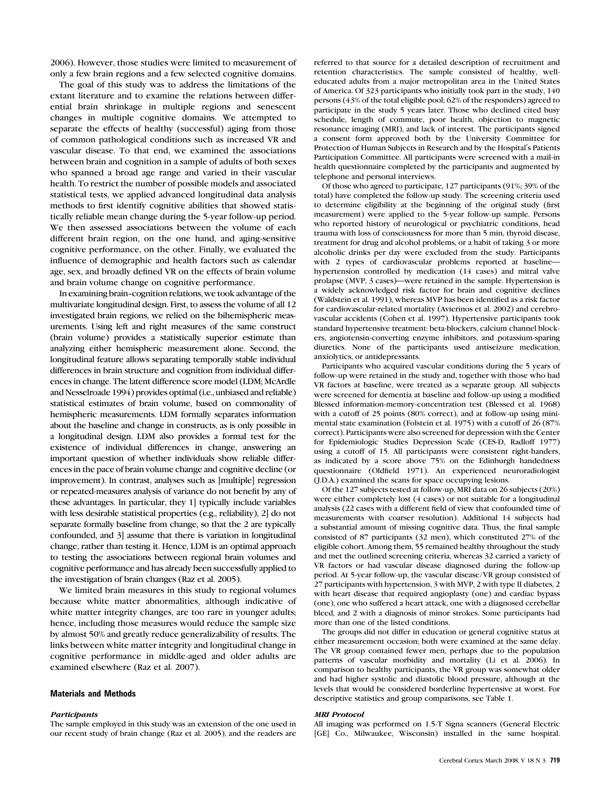2006). However, those studies were limited to measurement of only a few brain regions and a few selected cognitive domains.

The goal of this study was to address the limitations of the extant literature and to examine the relations between differential brain shrinkage in multiple regions and senescent changes in multiple cognitive domains. We attempted to separate the effects of healthy (successful) aging from those of common pathological conditions such as increased VR and vascular disease. To that end, we examined the associations between brain and cognition in a sample of adults of both sexes who spanned a broad age range and varied in their vascular health. To restrict the number of possible models and associated statistical tests, we applied advanced longitudinal data analysis methods to first identify cognitive abilities that showed statistically reliable mean change during the 5-year follow-up period. We then assessed associations between the volume of each different brain region, on the one hand, and aging-sensitive cognitive performance, on the other. Finally, we evaluated the influence of demographic and health factors such as calendar age, sex, and broadly defined VR on the effects of brain volume and brain volume change on cognitive performance.

In examining brain--cognition relations, we took advantage of the multivariate longitudinal design. First, to assess the volume of all 12 investigated brain regions, we relied on the bihemispheric measurements. Using left and right measures of the same construct (brain volume) provides a statistically superior estimate than analyzing either hemispheric measurement alone. Second, the longitudinal feature allows separating temporally stable individual differences in brain structure and cognition from individual differences in change. The latent difference score model (LDM; McArdle and Nesselroade 1994) provides optimal (i.e., unbiased and reliable) statistical estimates of brain volume, based on commonality of hemispheric measurements. LDM formally separates information about the baseline and change in constructs, as is only possible in a longitudinal design. LDM also provides a formal test for the existence of individual differences in change, answering an important question of whether individuals show reliable differences in the pace of brain volume change and cognitive decline (or improvement). In contrast, analyses such as [multiple] regression or repeated-measures analysis of variance do not benefit by any of these advantages. In particular, they 1] typically include variables with less desirable statistical properties (e.g., reliability), 2] do not separate formally baseline from change, so that the 2 are typically confounded, and 3] assume that there is variation in longitudinal change, rather than testing it. Hence, LDM is an optimal approach to testing the associations between regional brain volumes and cognitive performance and has already been successfully applied to the investigation of brain changes (Raz et al. 2005).

We limited brain measures in this study to regional volumes because white matter abnormalities, although indicative of white matter integrity changes, are too rare in younger adults; hence, including those measures would reduce the sample size by almost 50% and greatly reduce generalizability of results. The links between white matter integrity and longitudinal change in cognitive performance in middle-aged and older adults are examined elsewhere (Raz et al. 2007).

# Materials and Methods

## **Participants**

The sample employed in this study was an extension of the one used in our recent study of brain change (Raz et al. 2005), and the readers are

referred to that source for a detailed description of recruitment and retention characteristics. The sample consisted of healthy, welleducated adults from a major metropolitan area in the United States of America. Of 323 participants who initially took part in the study, 140 persons (43% of the total eligible pool; 62% of the responders) agreed to participate in the study 5 years later. Those who declined cited busy schedule, length of commute, poor health, objection to magnetic resonance imaging (MRI), and lack of interest. The participants signed a consent form approved both by the University Committee for Protection of Human Subjects in Research and by the Hospital's Patients Participation Committee. All participants were screened with a mail-in health questionnaire completed by the participants and augmented by telephone and personal interviews.

Of those who agreed to participate, 127 participants (91%; 39% of the total) have completed the follow-up study. The screening criteria used to determine eligibility at the beginning of the original study (first measurement) were applied to the 5-year follow-up sample. Persons who reported history of neurological or psychiatric conditions, head trauma with loss of consciousness for more than 5 min, thyroid disease, treatment for drug and alcohol problems, or a habit of taking 3 or more alcoholic drinks per day were excluded from the study. Participants with 2 types of cardiovascular problems reported at baseline hypertension controlled by medication (14 cases) and mitral valve prolapse (MVP, 3 cases)—were retained in the sample. Hypertension is a widely acknowledged risk factor for brain and cognitive declines (Waldstein et al. 1991), whereas MVP has been identified as a risk factor for cardiovascular-related mortality (Avierinos et al. 2002) and cerebrovascular accidents (Cohen et al. 1997). Hypertensive participants took standard hypertensive treatment: beta-blockers, calcium channel blockers, angiotensin-converting enzyme inhibitors, and potassium-sparing diuretics. None of the participants used antiseizure medication, anxiolytics, or antidepressants.

Participants who acquired vascular conditions during the 5 years of follow-up were retained in the study and, together with those who had VR factors at baseline, were treated as a separate group. All subjects were screened for dementia at baseline and follow-up using a modified Blessed information-memory-concentration test (Blessed et al. 1968) with a cutoff of 25 points (80% correct), and at follow-up using minimental state examination (Folstein et al. 1975) with a cutoff of 26 (87% correct). Participants were also screened for depression with the Center for Epidemiologic Studies Depression Scale (CES-D, Radloff 1977) using a cutoff of 15. All participants were consistent right-handers, as indicated by a score above 75% on the Edinburgh handedness questionnaire (Oldfield 1971). An experienced neuroradiologist (J.D.A.) examined the scans for space occupying lesions.

Of the 127 subjects tested at follow-up, MRI data on 26 subjects (20%) were either completely lost (4 cases) or not suitable for a longitudinal analysis (22 cases with a different field of view that confounded time of measurements with coarser resolution). Additional 14 subjects had a substantial amount of missing cognitive data. Thus, the final sample consisted of 87 participants (32 men), which constituted 27% of the eligible cohort. Among them, 55 remained healthy throughout the study and met the outlined screening criteria, whereas 32 carried a variety of VR factors or had vascular disease diagnosed during the follow-up period. At 5-year follow-up, the vascular disease/VR group consisted of 27 participants with hypertension, 3 with MVP, 2 with type II diabetes, 2 with heart disease that required angioplasty (one) and cardiac bypass (one), one who suffered a heart attack, one with a diagnosed cerebellar bleed, and 2 with a diagnosis of minor strokes. Some participants had more than one of the listed conditions.

The groups did not differ in education or general cognitive status at either measurement occasion; both were examined at the same delay. The VR group contained fewer men, perhaps due to the population patterns of vascular morbidity and mortality (Li et al. 2006). In comparison to healthy participants, the VR group was somewhat older and had higher systolic and diastolic blood pressure, although at the levels that would be considered borderline hypertensive at worst. For descriptive statistics and group comparisons, see Table 1.

# MRI Protocol

All imaging was performed on 1.5-T Signa scanners (General Electric [GE] Co., Milwaukee, Wisconsin) installed in the same hospital.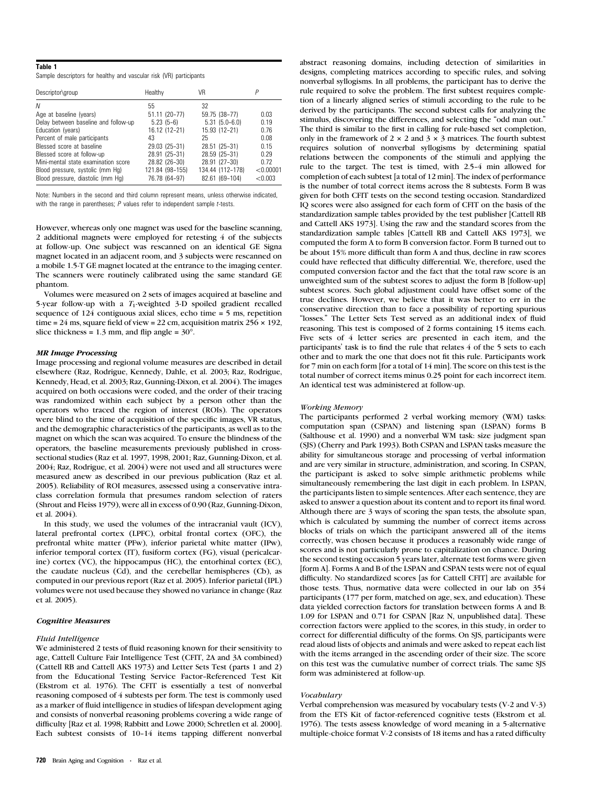## Table 1

Sample descriptors for healthy and vascular risk (VR) participants

| Descriptor\group                     | Healthy         | VR               | P         |
|--------------------------------------|-----------------|------------------|-----------|
| N                                    | 55              | 32               |           |
| Age at baseline (years)              | 51.11 (20-77)   | 59.75 (38-77)    | 0.03      |
| Delay between baseline and follow-up | $5.23(5-6)$     | $5.31(5.0-6.0)$  | 0.19      |
| Education (years)                    | 16.12 (12-21)   | 15.93 (12-21)    | 0.76      |
| Percent of male participants         | 43              | 25               | 0.08      |
| Blessed score at baseline            | 29.03 (25-31)   | 28.51 (25-31)    | 0.15      |
| Blessed score at follow-up           | 28.91 (25-31)   | 28.59 (25-31)    | 0.29      |
| Mini-mental state examination score  | 28.82 (26-30)   | 28.91 (27-30)    | 0.72      |
| Blood pressure, systolic (mm Hg)     | 121.84 (98-155) | 134.44 (112-178) | < 0.00001 |
| Blood pressure, diastolic (mm Hg)    | 76.78 (64-97)   | 82.61 (69-104)   | < 0.003   |

Note: Numbers in the second and third column represent means, unless otherwise indicated, with the range in parentheses;  $P$  values refer to independent sample  $t$ -tests.

However, whereas only one magnet was used for the baseline scanning, 2 additional magnets were employed for retesting 4 of the subjects at follow-up. One subject was rescanned on an identical GE Signa magnet located in an adjacent room, and 3 subjects were rescanned on a mobile 1.5-T GE magnet located at the entrance to the imaging center. The scanners were routinely calibrated using the same standard GE phantom.

Volumes were measured on 2 sets of images acquired at baseline and 5-year follow-up with a  $T_1$ -weighted 3-D spoiled gradient recalled sequence of 124 contiguous axial slices, echo time = 5 ms, repetition time = 24 ms, square field of view = 22 cm, acquisition matrix  $256 \times 192$ , slice thickness =  $1.3$  mm, and flip angle =  $30^{\circ}$ .

#### MR Image Processing

Image processing and regional volume measures are described in detail elsewhere (Raz, Rodrigue, Kennedy, Dahle, et al. 2003; Raz, Rodrigue, Kennedy, Head, et al. 2003; Raz, Gunning-Dixon, et al. 2004). The images acquired on both occasions were coded, and the order of their tracing was randomized within each subject by a person other than the operators who traced the region of interest (ROIs). The operators were blind to the time of acquisition of the specific images, VR status, and the demographic characteristics of the participants, as well as to the magnet on which the scan was acquired. To ensure the blindness of the operators, the baseline measurements previously published in crosssectional studies (Raz et al. 1997, 1998, 2001; Raz, Gunning-Dixon, et al. 2004; Raz, Rodrigue, et al. 2004) were not used and all structures were measured anew as described in our previous publication (Raz et al. 2005). Reliability of ROI measures, assessed using a conservative intraclass correlation formula that presumes random selection of raters (Shrout and Fleiss 1979), were all in excess of 0.90 (Raz, Gunning-Dixon, et al. 2004).

In this study, we used the volumes of the intracranial vault (ICV), lateral prefrontal cortex (LPFC), orbital frontal cortex (OFC), the prefrontal white matter (PFw), inferior parietal white matter (IPw), inferior temporal cortex (IT), fusiform cortex (FG), visual (pericalcarine) cortex (VC), the hippocampus (HC), the entorhinal cortex (EC), the caudate nucleus (Cd), and the cerebellar hemispheres (Cb), as computed in our previous report (Raz et al. 2005). Inferior parietal (IPL) volumes were not used because they showed no variance in change (Raz et al. 2005).

## Cognitive Measures

#### Fluid Intelligence

We administered 2 tests of fluid reasoning known for their sensitivity to age, Cattell Culture Fair Intelligence Test (CFIT, 2A and 3A combined) (Cattell RB and Cattell AKS 1973) and Letter Sets Test (parts 1 and 2) from the Educational Testing Service Factor--Referenced Test Kit (Ekstrom et al. 1976). The CFIT is essentially a test of nonverbal reasoning composed of 4 subtests per form. The test is commonly used as a marker of fluid intelligence in studies of lifespan development aging and consists of nonverbal reasoning problems covering a wide range of difficulty [Raz et al. 1998; Rabbitt and Lowe 2000; Schretlen et al. 2000]. Each subtest consists of 10-14 items tapping different nonverbal

abstract reasoning domains, including detection of similarities in designs, completing matrices according to specific rules, and solving nonverbal syllogisms. In all problems, the participant has to derive the rule required to solve the problem. The first subtest requires completion of a linearly aligned series of stimuli according to the rule to be derived by the participants. The second subtest calls for analyzing the stimulus, discovering the differences, and selecting the "odd man out." The third is similar to the first in calling for rule-based set completion, only in the framework of  $2 \times 2$  and  $3 \times 3$  matrices. The fourth subtest requires solution of nonverbal syllogisms by determining spatial relations between the components of the stimuli and applying the rule to the target. The test is timed, with 2.5-4 min allowed for completion of each subtest [a total of 12 min]. The index of performance is the number of total correct items across the 8 subtests. Form B was given for both CFIT tests on the second testing occasion. Standardized IQ scores were also assigned for each form of CFIT on the basis of the standardization sample tables provided by the test publisher [Cattell RB and Cattell AKS 1973]. Using the raw and the standard scores from the standardization sample tables [Cattell RB and Cattell AKS 1973], we computed the form A to form B conversion factor. Form B turned out to be about 15% more difficult than form A and thus, decline in raw scores could have reflected that difficulty differential. We, therefore, used the computed conversion factor and the fact that the total raw score is an unweighted sum of the subtest scores to adjust the form B [follow-up] subtest scores. Such global adjustment could have offset some of the true declines. However, we believe that it was better to err in the conservative direction than to face a possibility of reporting spurious ''losses.'' The Letter Sets Test served as an additional index of fluid reasoning. This test is composed of 2 forms containing 15 items each. Five sets of 4 letter series are presented in each item, and the participants' task is to find the rule that relates 4 of the 5 sets to each other and to mark the one that does not fit this rule. Participants work for 7 min on each form [for a total of 14 min]. The score on this test is the total number of correct items minus 0.25 point for each incorrect item. An identical test was administered at follow-up.

#### Working Memory

The participants performed 2 verbal working memory (WM) tasks: computation span (CSPAN) and listening span (LSPAN) forms B (Salthouse et al. 1990) and a nonverbal WM task: size judgment span (SJS) (Cherry and Park 1993). Both CSPAN and LSPAN tasks measure the ability for simultaneous storage and processing of verbal information and are very similar in structure, administration, and scoring. In CSPAN, the participant is asked to solve simple arithmetic problems while simultaneously remembering the last digit in each problem. In LSPAN, the participants listen to simple sentences. After each sentence, they are asked to answer a question about its content and to report its final word. Although there are 3 ways of scoring the span tests, the absolute span, which is calculated by summing the number of correct items across blocks of trials on which the participant answered all of the items correctly, was chosen because it produces a reasonably wide range of scores and is not particularly prone to capitalization on chance. During the second testing occasion 5 years later, alternate test forms were given [form A]. Forms A and B of the LSPAN and CSPAN tests were not of equal difficulty. No standardized scores [as for Cattell CFIT] are available for those tests. Thus, normative data were collected in our lab on 354 participants (177 per form, matched on age, sex, and education). These data yielded correction factors for translation between forms A and B: 1.09 for LSPAN and 0.71 for CSPAN [Raz N, unpublished data]. These correction factors were applied to the scores, in this study, in order to correct for differential difficulty of the forms. On SJS, participants were read aloud lists of objects and animals and were asked to repeat each list with the items arranged in the ascending order of their size. The score on this test was the cumulative number of correct trials. The same SJS form was administered at follow-up.

## Vocabulary

Verbal comprehension was measured by vocabulary tests (V-2 and V-3) from the ETS Kit of factor-referenced cognitive tests (Ekstrom et al. 1976). The tests assess knowledge of word meaning in a 5-alternative multiple-choice format V-2 consists of 18 items and has a rated difficulty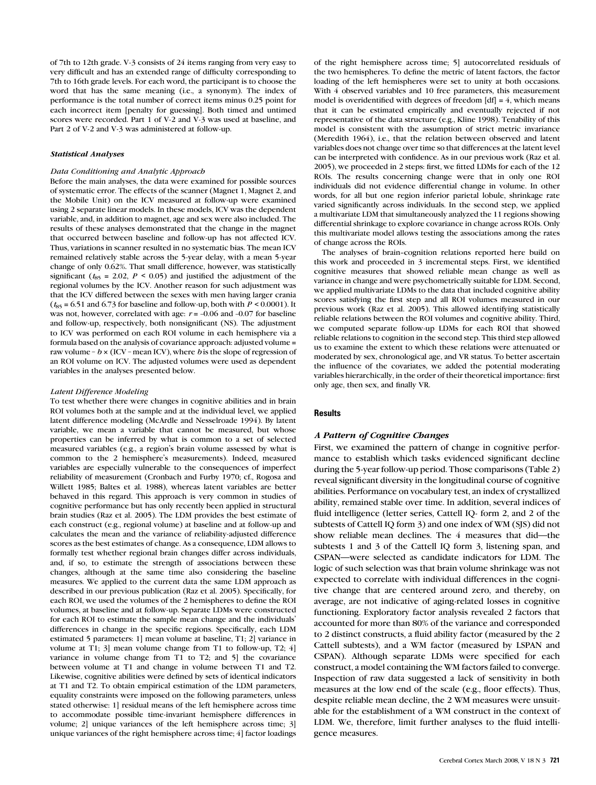of 7th to 12th grade. V-3 consists of 24 items ranging from very easy to very difficult and has an extended range of difficulty corresponding to 7th to 16th grade levels. For each word, the participant is to choose the word that has the same meaning (i.e., a synonym). The index of performance is the total number of correct items minus 0.25 point for each incorrect item [penalty for guessing]. Both timed and untimed scores were recorded. Part 1 of V-2 and V-3 was used at baseline, and Part 2 of V-2 and V-3 was administered at follow-up.

#### Statistical Analyses

#### Data Conditioning and Analytic Approach

Before the main analyses, the data were examined for possible sources of systematic error. The effects of the scanner (Magnet 1, Magnet 2, and the Mobile Unit) on the ICV measured at follow-up were examined using 2 separate linear models. In these models, ICV was the dependent variable, and, in addition to magnet, age and sex were also included. The results of these analyses demonstrated that the change in the magnet that occurred between baseline and follow-up has not affected ICV. Thus, variations in scanner resulted in no systematic bias. The mean ICV remained relatively stable across the 5-year delay, with a mean 5-year change of only 0.62%. That small difference, however, was statistically significant ( $t_{85}$  = 2.02,  $P \le 0.05$ ) and justified the adjustment of the regional volumes by the ICV. Another reason for such adjustment was that the ICV differed between the sexes with men having larger crania  $(t_{85} = 6.51$  and 6.73 for baseline and follow-up, both with  $P < 0.0001$ ). It was not, however, correlated with age:  $r = -0.06$  and  $-0.07$  for baseline and follow-up, respectively, both nonsignificant (NS). The adjustment to ICV was performed on each ROI volume in each hemisphere via a formula based on the analysis of covariance approach: adjusted volume = raw volume –  $b \times (ICV$  – mean ICV), where b is the slope of regression of an ROI volume on ICV. The adjusted volumes were used as dependent variables in the analyses presented below.

#### Latent Difference Modeling

To test whether there were changes in cognitive abilities and in brain ROI volumes both at the sample and at the individual level, we applied latent difference modeling (McArdle and Nesselroade 1994). By latent variable, we mean a variable that cannot be measured, but whose properties can be inferred by what is common to a set of selected measured variables (e.g., a region's brain volume assessed by what is common to the 2 hemisphere's measurements). Indeed, measured variables are especially vulnerable to the consequences of imperfect reliability of measurement (Cronbach and Furby 1970; cf., Rogosa and Willett 1985; Baltes et al. 1988), whereas latent variables are better behaved in this regard. This approach is very common in studies of cognitive performance but has only recently been applied in structural brain studies (Raz et al. 2005). The LDM provides the best estimate of each construct (e.g., regional volume) at baseline and at follow-up and calculates the mean and the variance of reliability-adjusted difference scores as the best estimates of change. As a consequence, LDM allows to formally test whether regional brain changes differ across individuals, and, if so, to estimate the strength of associations between these changes, although at the same time also considering the baseline measures. We applied to the current data the same LDM approach as described in our previous publication (Raz et al. 2005). Specifically, for each ROI, we used the volumes of the 2 hemispheres to define the ROI volumes, at baseline and at follow-up. Separate LDMs were constructed for each ROI to estimate the sample mean change and the individuals' differences in change in the specific regions. Specifically, each LDM estimated 5 parameters: 1] mean volume at baseline, T1; 2] variance in volume at T1; 3] mean volume change from T1 to follow-up, T2; 4] variance in volume change from T1 to T2; and 5] the covariance between volume at T1 and change in volume between T1 and T2. Likewise, cognitive abilities were defined by sets of identical indicators at T1 and T2. To obtain empirical estimation of the LDM parameters, equality constraints were imposed on the following parameters, unless stated otherwise: 1] residual means of the left hemisphere across time to accommodate possible time-invariant hemisphere differences in volume; 2] unique variances of the left hemisphere across time; 3] unique variances of the right hemisphere across time; 4] factor loadings

of the right hemisphere across time; 5] autocorrelated residuals of the two hemispheres. To define the metric of latent factors, the factor loading of the left hemispheres were set to unity at both occasions. With 4 observed variables and 10 free parameters, this measurement model is overidentified with degrees of freedom  $[df] = 4$ , which means that it can be estimated empirically and eventually rejected if not representative of the data structure (e.g., Kline 1998). Tenability of this model is consistent with the assumption of strict metric invariance (Meredith 1964), i.e., that the relation between observed and latent variables does not change over time so that differences at the latent level can be interpreted with confidence. As in our previous work (Raz et al. 2005), we proceeded in 2 steps: first, we fitted LDMs for each of the 12 ROIs. The results concerning change were that in only one ROI individuals did not evidence differential change in volume. In other words, for all but one region inferior parietal lobule, shrinkage rate varied significantly across individuals. In the second step, we applied a multivariate LDM that simultaneously analyzed the 11 regions showing differential shrinkage to explore covariance in change across ROIs. Only this multivariate model allows testing the associations among the rates of change across the ROIs.

The analyses of brain-cognition relations reported here build on this work and proceeded in 3 incremental steps. First, we identified cognitive measures that showed reliable mean change as well as variance in change and were psychometrically suitable for LDM. Second, we applied multivariate LDMs to the data that included cognitive ability scores satisfying the first step and all ROI volumes measured in our previous work (Raz et al. 2005). This allowed identifying statistically reliable relations between the ROI volumes and cognitive ability. Third, we computed separate follow-up LDMs for each ROI that showed reliable relations to cognition in the second step. This third step allowed us to examine the extent to which these relations were attenuated or moderated by sex, chronological age, and VR status. To better ascertain the influence of the covariates, we added the potential moderating variables hierarchically, in the order of their theoretical importance: first only age, then sex, and finally VR.

# **Results**

#### A Pattern of Cognitive Changes

First, we examined the pattern of change in cognitive performance to establish which tasks evidenced significant decline during the 5-year follow-up period. Those comparisons (Table 2) reveal significant diversity in the longitudinal course of cognitive abilities. Performance on vocabulary test, an index of crystallized ability, remained stable over time. In addition, several indices of fluid intelligence (letter series, Cattell IQ- form 2, and 2 of the subtests of Cattell IQ form 3) and one index of WM (SJS) did not show reliable mean declines. The 4 measures that did—the subtests 1 and 3 of the Cattell IQ form 3, listening span, and CSPAN—were selected as candidate indicators for LDM. The logic of such selection was that brain volume shrinkage was not expected to correlate with individual differences in the cognitive change that are centered around zero, and thereby, on average, are not indicative of aging-related losses in cognitive functioning. Exploratory factor analysis revealed 2 factors that accounted for more than 80% of the variance and corresponded to 2 distinct constructs, a fluid ability factor (measured by the 2 Cattell subtests), and a WM factor (measured by LSPAN and CSPAN). Although separate LDMs were specified for each construct, a model containing the WM factors failed to converge. Inspection of raw data suggested a lack of sensitivity in both measures at the low end of the scale (e.g., floor effects). Thus, despite reliable mean decline, the 2 WM measures were unsuitable for the establishment of a WM construct in the context of LDM. We, therefore, limit further analyses to the fluid intelligence measures.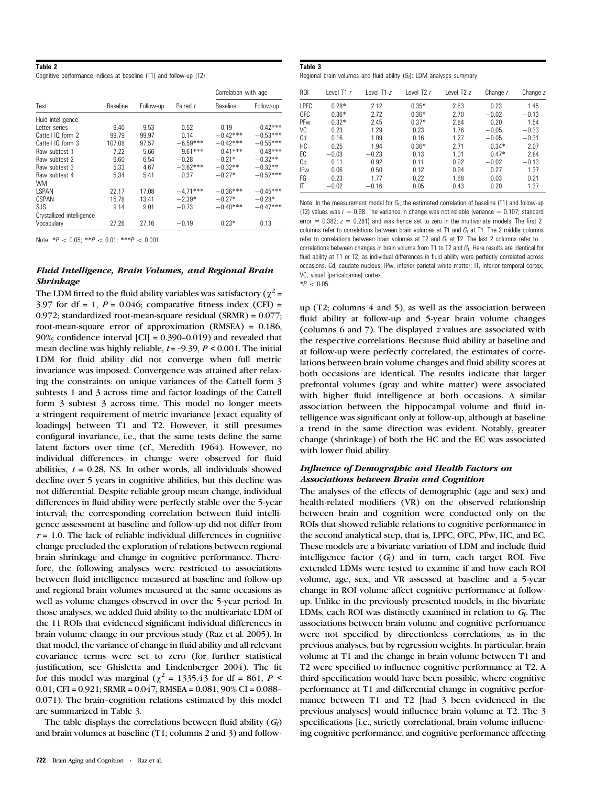### Table 2

Cognitive performance indices at baseline (T1) and follow-up (T2)

|                           |                 |           |            | Correlation with age |            |
|---------------------------|-----------------|-----------|------------|----------------------|------------|
| Test                      | <b>Baseline</b> | Follow-up | Paired t   | <b>Baseline</b>      | Follow-up  |
| Fluid intelligence        |                 |           |            |                      |            |
| Letter series             | 9.40            | 9.53      | 0.52       | $-0.19$              | $-0.42***$ |
| Cattell IO form 2         | 99.79           | 99.97     | 0.14       | $-0.42***$           | $-0.53***$ |
| Cattell IQ form 3         | 107.08          | 97.57     | $-6.59***$ | $-0.42***$           | $-0.55***$ |
| Raw subtest 1             | 7.22            | 5.66      | $-9.61***$ | $-0.41***$           | $-0.48***$ |
| Raw subtest 2             | 6.60            | 6.54      | $-0.28$    | $-0.21*$             | $-0.32**$  |
| Raw subtest 3             | 5.33            | 4.67      | $-3.62***$ | $-0.32**$            | $-0.32**$  |
| Raw subtest 4             | 5.34            | 5.41      | 0.37       | $-0.27*$             | $-0.52***$ |
| <b>WM</b>                 |                 |           |            |                      |            |
| <b>LSPAN</b>              | 22.17           | 17.08     | $-4.71***$ | $-0.36***$           | $-0.45***$ |
| <b>CSPAN</b>              | 15.78           | 13.41     | $-2.39*$   | $-0.27*$             | $-0.28*$   |
| <b>SJS</b>                | 9.14            | 9.01      | $-0.73$    | $-0.40***$           | $-0.47***$ |
| Crystallized intelligence |                 |           |            |                      |            |
| Vocabulary                | 27.26           | 27.16     | $-0.19$    | $0.23*$              | 0.13       |

Note:  $*P < 0.05$ ;  $**P < 0.01$ ;  $***P < 0.001$ .

# Fluid Intelligence, Brain Volumes, and Regional Brain Shrinkage

The LDM fitted to the fluid ability variables was satisfactory ( $\gamma^2$  = 3.97 for df = 1,  $P = 0.046$ ; comparative fitness index (CFI) = 0.972; standardized root-mean-square residual (SRMR) = 0.077; root-mean-square error of approximation (RMSEA) = 0.186, 90%; confidence interval  $|CI| = 0.390 - 0.019$  and revealed that mean decline was highly reliable,  $t = -9.39$ ,  $P \le 0.001$ . The initial LDM for fluid ability did not converge when full metric invariance was imposed. Convergence was attained after relaxing the constraints: on unique variances of the Cattell form 3 subtests 1 and 3 across time and factor loadings of the Cattell form 3 subtest 3 across time. This model no longer meets a stringent requirement of metric invariance [exact equality of loadings] between T1 and T2. However, it still presumes configural invariance, i.e., that the same tests define the same latent factors over time (cf., Meredith 1964). However, no individual differences in change were observed for fluid abilities,  $t = 0.28$ , NS. In other words, all individuals showed decline over 5 years in cognitive abilities, but this decline was not differential. Despite reliable group mean change, individual differences in fluid ability were perfectly stable over the 5-year interval; the corresponding correlation between fluid intelligence assessment at baseline and follow-up did not differ from  $r = 1.0$ . The lack of reliable individual differences in cognitive change precluded the exploration of relations between regional brain shrinkage and change in cognitive performance. Therefore, the following analyses were restricted to associations between fluid intelligence measured at baseline and follow-up and regional brain volumes measured at the same occasions as well as volume changes observed in over the 5-year period. In those analyses, we added fluid ability to the multivariate LDM of the 11 ROIs that evidenced significant individual differences in brain volume change in our previous study (Raz et al. 2005). In that model, the variance of change in fluid ability and all relevant covariance terms were set to zero (for further statistical justification, see Ghisletta and Lindenberger 2004). The fit for this model was marginal ( $\chi^2$  = 1335.43 for df = 861, P <  $0.01$ ; CFI = 0.921; SRMR = 0.047; RMSEA = 0.081, 90% CI = 0.088-0.071). The brain--cognition relations estimated by this model are summarized in Table 3.

The table displays the correlations between fluid ability  $(G_f)$ and brain volumes at baseline (T1; columns 2 and 3) and follow-

| Table 3                                                                 |  |  |  |  |
|-------------------------------------------------------------------------|--|--|--|--|
| Regional brain volumes and fluid ability $(G_f)$ : LDM analyses summary |  |  |  |  |

| <b>ROI</b>      | Level $T1r$ | Level $T1z$ | Level $T2r$ | Level T <sub>2z</sub> | Change $r$ | Change $z$ |
|-----------------|-------------|-------------|-------------|-----------------------|------------|------------|
| <b>LPFC</b>     | $0.28*$     | 2.12        | $0.35*$     | 2.63                  | 0.23       | 1.45       |
| OFC.            | $0.36*$     | 2.72        | $0.36*$     | 2.70                  | $-0.02$    | $-0.13$    |
| PFw             | $0.32*$     | 2.45        | $0.37*$     | 2.84                  | 0.20       | 1.54       |
| VC              | 0.23        | 1.29        | 0.23        | 1.76                  | $-0.05$    | $-0.33$    |
| Cd              | 0.16        | 1.09        | 0.16        | 1.27                  | $-0.05$    | $-0.31$    |
| HC              | 0.25        | 1.94        | $0.36*$     | 2.71                  | $0.34*$    | 2.07       |
| EC              | $-0.03$     | $-0.23$     | 0.13        | 1.01                  | $0.47*$    | 2.84       |
| Сb              | 0.11        | 0.92        | 0.11        | 0.92                  | $-0.02$    | $-0.13$    |
| IP <sub>w</sub> | 0.06        | 0.50        | 0.12        | 0.94                  | 0.27       | 1.37       |
| FG              | 0.23        | 1.77        | 0.22        | 1.68                  | 0.03       | 0.21       |
| IT              | $-0.02$     | $-0.16$     | 0.05        | 0.43                  | 0.20       | 1.37       |

Note: In the measurement model for  $G_f$ , the estimated correlation of baseline (T1) and follow-up (T2) values was  $r = 0.98$ . The variance in change was not reliable (variance = 0.107; standard error  $= 0.382$ ;  $z = 0.281$ ) and was hence set to zero in the multivariate models. The first 2 columns refer to correlations between brain volumes at T1 and  $G<sub>f</sub>$  at T1. The 2 middle columns refer to correlations between brain volumes at T2 and  $G_f$  at T2. The last 2 columns refer to correlations between changes in brain volume from T1 to T2 and  $G_f$ . Here results are identical for fluid ability at T1 or T2, as individual differences in fluid ability were perfectly correlated across occasions. Cd, caudate nucleus; IPw, inferior parietal white matter; IT, inferior temporal cortex; VC, visual (pericalcarine) cortex.

 $*P < 0.05$ .

up (T2; columns 4 and 5), as well as the association between fluid ability at follow-up and 5-year brain volume changes (columns 6 and 7). The displayed z values are associated with the respective correlations. Because fluid ability at baseline and at follow-up were perfectly correlated, the estimates of correlations between brain volume changes and fluid ability scores at both occasions are identical. The results indicate that larger prefrontal volumes (gray and white matter) were associated with higher fluid intelligence at both occasions. A similar association between the hippocampal volume and fluid intelligence was significant only at follow-up, although at baseline a trend in the same direction was evident. Notably, greater change (shrinkage) of both the HC and the EC was associated with lower fluid ability.

# Influence of Demographic and Health Factors on Associations between Brain and Cognition

The analyses of the effects of demographic (age and sex) and health-related modifiers (VR) on the observed relationship between brain and cognition were conducted only on the ROIs that showed reliable relations to cognitive performance in the second analytical step, that is, LPFC, OFC, PFw, HC, and EC. These models are a bivariate variation of LDM and include fluid intelligence factor  $(G_f)$  and in turn, each target ROI. Five extended LDMs were tested to examine if and how each ROI volume, age, sex, and VR assessed at baseline and a 5-year change in ROI volume affect cognitive performance at followup. Unlike in the previously presented models, in the bivariate LDMs, each ROI was distinctly examined in relation to  $G<sub>f</sub>$ . The associations between brain volume and cognitive performance were not specified by directionless correlations, as in the previous analyses, but by regression weights. In particular, brain volume at T1 and the change in brain volume between T1 and T2 were specified to influence cognitive performance at T2. A third specification would have been possible, where cognitive performance at T1 and differential change in cognitive performance between T1 and T2 [had 3 been evidenced in the previous analyses] would influence brain volume at T2. The 3 specifications [i.e., strictly correlational, brain volume influencing cognitive performance, and cognitive performance affecting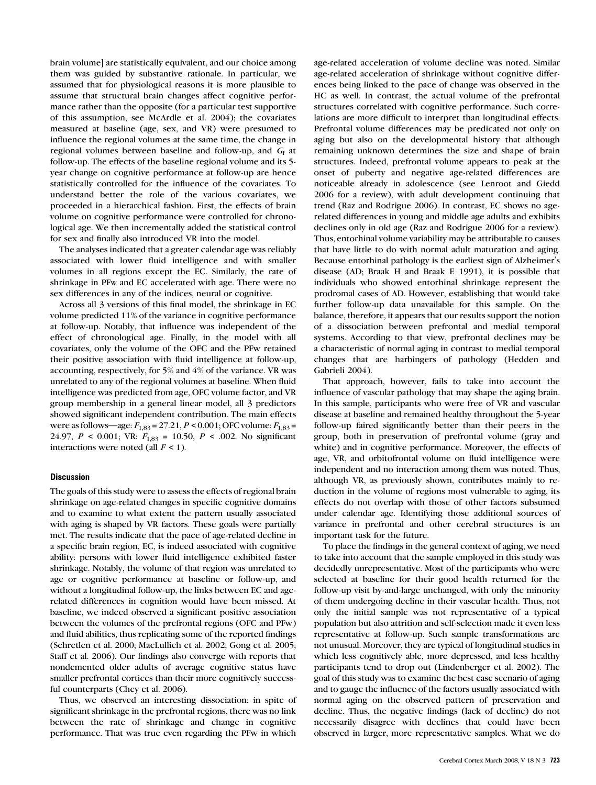brain volume] are statistically equivalent, and our choice among them was guided by substantive rationale. In particular, we assumed that for physiological reasons it is more plausible to assume that structural brain changes affect cognitive performance rather than the opposite (for a particular test supportive of this assumption, see McArdle et al. 2004); the covariates measured at baseline (age, sex, and VR) were presumed to influence the regional volumes at the same time, the change in regional volumes between baseline and follow-up, and  $G<sub>f</sub>$  at follow-up. The effects of the baseline regional volume and its 5 year change on cognitive performance at follow-up are hence statistically controlled for the influence of the covariates. To understand better the role of the various covariates, we proceeded in a hierarchical fashion. First, the effects of brain volume on cognitive performance were controlled for chronological age. We then incrementally added the statistical control for sex and finally also introduced VR into the model.

The analyses indicated that a greater calendar age was reliably associated with lower fluid intelligence and with smaller volumes in all regions except the EC. Similarly, the rate of shrinkage in PFW and EC accelerated with age. There were no sex differences in any of the indices, neural or cognitive.

Across all 3 versions of this final model, the shrinkage in EC volume predicted 11% of the variance in cognitive performance at follow-up. Notably, that influence was independent of the effect of chronological age. Finally, in the model with all covariates, only the volume of the OFC and the PFw retained their positive association with fluid intelligence at follow-up, accounting, respectively, for 5% and 4% of the variance. VR was unrelated to any of the regional volumes at baseline. When fluid intelligence was predicted from age, OFC volume factor, and VR group membership in a general linear model, all 3 predictors showed significant independent contribution. The main effects were as follows—age:  $F_{1,83} = 27.21, P \le 0.001$ ; OFC volume:  $F_{1,83} =$ 24.97,  $P < 0.001$ ; VR:  $F_{1,83} = 10.50$ ,  $P < 0.002$ . No significant interactions were noted (all  $F < 1$ ).

# **Discussion**

The goals of this study were to assess the effects of regional brain shrinkage on age-related changes in specific cognitive domains and to examine to what extent the pattern usually associated with aging is shaped by VR factors. These goals were partially met. The results indicate that the pace of age-related decline in a specific brain region, EC, is indeed associated with cognitive ability: persons with lower fluid intelligence exhibited faster shrinkage. Notably, the volume of that region was unrelated to age or cognitive performance at baseline or follow-up, and without a longitudinal follow-up, the links between EC and agerelated differences in cognition would have been missed. At baseline, we indeed observed a significant positive association between the volumes of the prefrontal regions (OFC and PFw) and fluid abilities, thus replicating some of the reported findings (Schretlen et al. 2000; MacLullich et al. 2002; Gong et al. 2005; Staff et al. 2006). Our findings also converge with reports that nondemented older adults of average cognitive status have smaller prefrontal cortices than their more cognitively successful counterparts (Chey et al. 2006).

Thus, we observed an interesting dissociation: in spite of significant shrinkage in the prefrontal regions, there was no link between the rate of shrinkage and change in cognitive performance. That was true even regarding the PFw in which

age-related acceleration of volume decline was noted. Similar age-related acceleration of shrinkage without cognitive differences being linked to the pace of change was observed in the HC as well. In contrast, the actual volume of the prefrontal structures correlated with cognitive performance. Such correlations are more difficult to interpret than longitudinal effects. Prefrontal volume differences may be predicated not only on aging but also on the developmental history that although remaining unknown determines the size and shape of brain structures. Indeed, prefrontal volume appears to peak at the onset of puberty and negative age-related differences are noticeable already in adolescence (see Lenroot and Giedd 2006 for a review), with adult development continuing that trend (Raz and Rodrigue 2006). In contrast, EC shows no agerelated differences in young and middle age adults and exhibits declines only in old age (Raz and Rodrigue 2006 for a review). Thus, entorhinal volume variability may be attributable to causes that have little to do with normal adult maturation and aging. Because entorhinal pathology is the earliest sign of Alzheimer's disease (AD; Braak H and Braak E 1991), it is possible that individuals who showed entorhinal shrinkage represent the prodromal cases of AD. However, establishing that would take further follow-up data unavailable for this sample. On the balance, therefore, it appears that our results support the notion of a dissociation between prefrontal and medial temporal systems. According to that view, prefrontal declines may be a characteristic of normal aging in contrast to medial temporal changes that are harbingers of pathology (Hedden and Gabrieli 2004).

That approach, however, fails to take into account the influence of vascular pathology that may shape the aging brain. In this sample, participants who were free of VR and vascular disease at baseline and remained healthy throughout the 5-year follow-up faired significantly better than their peers in the group, both in preservation of prefrontal volume (gray and white) and in cognitive performance. Moreover, the effects of age, VR, and orbitofrontal volume on fluid intelligence were independent and no interaction among them was noted. Thus, although VR, as previously shown, contributes mainly to reduction in the volume of regions most vulnerable to aging, its effects do not overlap with those of other factors subsumed under calendar age. Identifying those additional sources of variance in prefrontal and other cerebral structures is an important task for the future.

To place the findings in the general context of aging, we need to take into account that the sample employed in this study was decidedly unrepresentative. Most of the participants who were selected at baseline for their good health returned for the follow-up visit by-and-large unchanged, with only the minority of them undergoing decline in their vascular health. Thus, not only the initial sample was not representative of a typical population but also attrition and self-selection made it even less representative at follow-up. Such sample transformations are not unusual. Moreover, they are typical of longitudinal studies in which less cognitively able, more depressed, and less healthy participants tend to drop out (Lindenberger et al. 2002). The goal of this study was to examine the best case scenario of aging and to gauge the influence of the factors usually associated with normal aging on the observed pattern of preservation and decline. Thus, the negative findings (lack of decline) do not necessarily disagree with declines that could have been observed in larger, more representative samples. What we do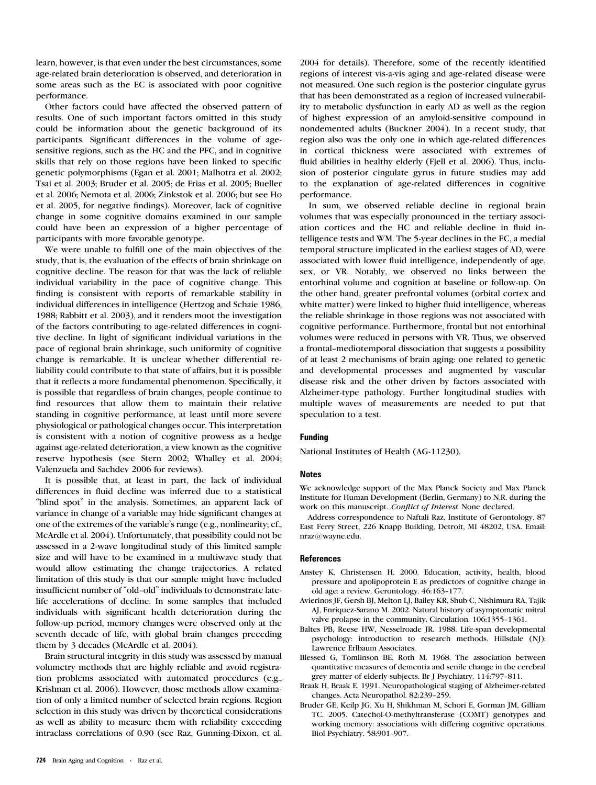learn, however, is that even under the best circumstances, some age-related brain deterioration is observed, and deterioration in some areas such as the EC is associated with poor cognitive performance.

Other factors could have affected the observed pattern of results. One of such important factors omitted in this study could be information about the genetic background of its participants. Significant differences in the volume of agesensitive regions, such as the HC and the PFC, and in cognitive skills that rely on those regions have been linked to specific genetic polymorphisms (Egan et al. 2001; Malhotra et al. 2002; Tsai et al. 2003; Bruder et al. 2005; de Frias et al. 2005; Bueller et al. 2006; Nemota et al. 2006; Zinkstok et al. 2006; but see Ho et al. 2005, for negative findings). Moreover, lack of cognitive change in some cognitive domains examined in our sample could have been an expression of a higher percentage of participants with more favorable genotype.

We were unable to fulfill one of the main objectives of the study, that is, the evaluation of the effects of brain shrinkage on cognitive decline. The reason for that was the lack of reliable individual variability in the pace of cognitive change. This finding is consistent with reports of remarkable stability in individual differences in intelligence (Hertzog and Schaie 1986, 1988; Rabbitt et al. 2003), and it renders moot the investigation of the factors contributing to age-related differences in cognitive decline. In light of significant individual variations in the pace of regional brain shrinkage, such uniformity of cognitive change is remarkable. It is unclear whether differential reliability could contribute to that state of affairs, but it is possible that it reflects a more fundamental phenomenon. Specifically, it is possible that regardless of brain changes, people continue to find resources that allow them to maintain their relative standing in cognitive performance, at least until more severe physiological or pathological changes occur. This interpretation is consistent with a notion of cognitive prowess as a hedge against age-related deterioration, a view known as the cognitive reserve hypothesis (see Stern 2002; Whalley et al. 2004; Valenzuela and Sachdev 2006 for reviews).

It is possible that, at least in part, the lack of individual differences in fluid decline was inferred due to a statistical "blind spot" in the analysis. Sometimes, an apparent lack of variance in change of a variable may hide significant changes at one of the extremes of the variable's range (e.g., nonlinearity; cf., McArdle et al. 2004). Unfortunately, that possibility could not be assessed in a 2-wave longitudinal study of this limited sample size and will have to be examined in a multiwave study that would allow estimating the change trajectories. A related limitation of this study is that our sample might have included insufficient number of "old-old" individuals to demonstrate latelife accelerations of decline. In some samples that included individuals with significant health deterioration during the follow-up period, memory changes were observed only at the seventh decade of life, with global brain changes preceding them by 3 decades (McArdle et al. 2004).

Brain structural integrity in this study was assessed by manual volumetry methods that are highly reliable and avoid registration problems associated with automated procedures (e.g., Krishnan et al. 2006). However, those methods allow examination of only a limited number of selected brain regions. Region selection in this study was driven by theoretical considerations as well as ability to measure them with reliability exceeding intraclass correlations of 0.90 (see Raz, Gunning-Dixon, et al. 2004 for details). Therefore, some of the recently identified regions of interest vis-a-vis aging and age-related disease were not measured. One such region is the posterior cingulate gyrus that has been demonstrated as a region of increased vulnerability to metabolic dysfunction in early AD as well as the region of highest expression of an amyloid-sensitive compound in nondemented adults (Buckner 2004). In a recent study, that region also was the only one in which age-related differences in cortical thickness were associated with extremes of fluid abilities in healthy elderly (Fjell et al. 2006). Thus, inclusion of posterior cingulate gyrus in future studies may add to the explanation of age-related differences in cognitive performance.

In sum, we observed reliable decline in regional brain volumes that was especially pronounced in the tertiary association cortices and the HC and reliable decline in fluid intelligence tests and WM. The 5-year declines in the EC, a medial temporal structure implicated in the earliest stages of AD, were associated with lower fluid intelligence, independently of age, sex, or VR. Notably, we observed no links between the entorhinal volume and cognition at baseline or follow-up. On the other hand, greater prefrontal volumes (orbital cortex and white matter) were linked to higher fluid intelligence, whereas the reliable shrinkage in those regions was not associated with cognitive performance. Furthermore, frontal but not entorhinal volumes were reduced in persons with VR. Thus, we observed a frontal--mediotemporal dissociation that suggests a possibility of at least 2 mechanisms of brain aging: one related to genetic and developmental processes and augmented by vascular disease risk and the other driven by factors associated with Alzheimer-type pathology. Further longitudinal studies with multiple waves of measurements are needed to put that speculation to a test.

# Funding

National Institutes of Health (AG-11230).

#### **Notes**

We acknowledge support of the Max Planck Society and Max Planck Institute for Human Development (Berlin, Germany) to N.R. during the work on this manuscript. Conflict of Interest: None declared.

Address correspondence to Naftali Raz, Institute of Gerontology, 87 East Ferry Street, 226 Knapp Building, Detroit, MI 48202, USA. Email: nraz@wayne.edu.

#### References

- Anstey K, Christensen H. 2000. Education, activity, health, blood pressure and apolipoprotein E as predictors of cognitive change in old age: a review. Gerontology. 46:163-177.
- Avierinos JF, Gersh BJ, Melton LJ, Bailey KR, Shub C, Nishimura RA, Tajik AJ, Enriquez-Sarano M. 2002. Natural history of asymptomatic mitral valve prolapse in the community. Circulation. 106:1355-1361.
- Baltes PB, Reese HW, Nesselroade JR. 1988. Life-span developmental psychology: introduction to research methods. Hillsdale (NJ): Lawrence Erlbaum Associates.
- Blessed G, Tomlinson BE, Roth M. 1968. The association between quantitative measures of dementia and senile change in the cerebral grey matter of elderly subjects. Br J Psychiatry. 114:797-811.
- Braak H, Braak E. 1991. Neuropathological staging of Alzheimer-related changes. Acta Neuropathol. 82:239-259.
- Bruder GE, Keilp JG, Xu H, Shikhman M, Schori E, Gorman JM, Gilliam TC. 2005. Catechol-O-methyltransferase (COMT) genotypes and working memory: associations with differing cognitive operations. Biol Psychiatry. 58:901-907.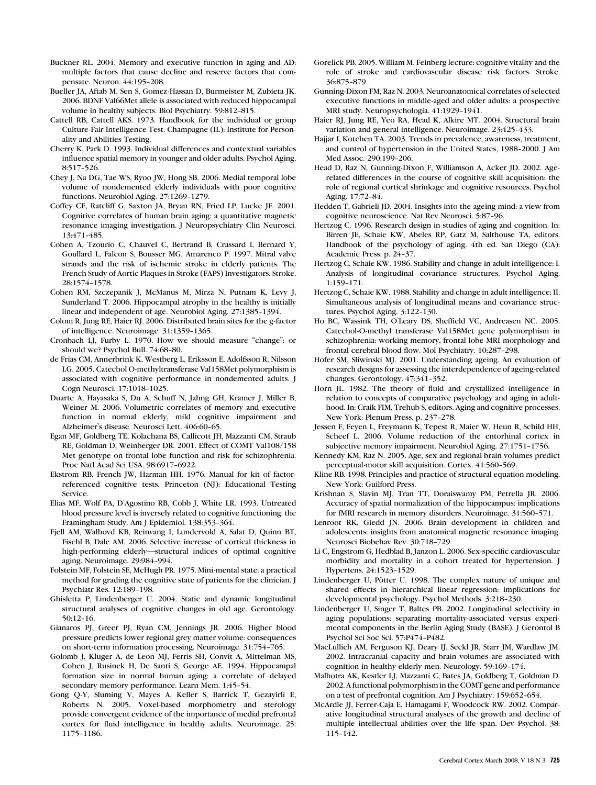- Buckner RL. 2004. Memory and executive function in aging and AD: multiple factors that cause decline and reserve factors that compensate. Neuron. 44:195-208.
- Bueller JA, Aftab M, Sen S, Gomez-Hassan D, Burmeister M, Zubieta JK. 2006. BDNF Val66Met allele is associated with reduced hippocampal volume in healthy subjects. Biol Psychiatry. 59:812-815.
- Cattell RB, Cattell AKS. 1973. Handbook for the individual or group Culture-Fair Intelligence Test. Champagne (IL): Institute for Personality and Abilities Testing.
- Cherry K, Park D. 1993. Individual differences and contextual variables influence spatial memory in younger and older adults. Psychol Aging. 8:517-526.
- Chey J, Na DG, Tae WS, Ryoo JW, Hong SB. 2006. Medial temporal lobe volume of nondemented elderly individuals with poor cognitive functions. Neurobiol Aging. 27:1269-1279.
- Coffey CE, Ratcliff G, Saxton JA, Bryan RN, Fried LP, Lucke JF. 2001. Cognitive correlates of human brain aging: a quantitative magnetic resonance imaging investigation. J Neuropsychiatry Clin Neurosci. 13:471-485.
- Cohen A, Tzourio C, Chauvel C, Bertrand B, Crassard I, Bernard Y, Goullard L, Falcon S, Bousser MG, Amarenco P. 1997. Mitral valve strands and the risk of ischemic stroke in elderly patients. The French Study of Aortic Plaques in Stroke (FAPS) Investigators. Stroke. 28:1574--1578.
- Cohen RM, Szczepanik J, McManus M, Mirza N, Putnam K, Levy J, Sunderland T. 2006. Hippocampal atrophy in the healthy is initially linear and independent of age. Neurobiol Aging. 27:1385--1394.
- Colom R, Jung RE, Haier RJ. 2006. Distributed brain sites for the g-factor of intelligence. Neuroimage. 31:1359-1365.
- Cronbach LJ, Furby L. 1970. How we should measure "change": or should we? Psychol Bull. 74:68-80.
- de Frias CM, Annerbrink K, Westberg L, Eriksson E, Adolfsson R, Nilsson LG. 2005. Catechol O-methyltransferase Val158Met polymorphism is associated with cognitive performance in nondemented adults. J Cogn Neurosci. 17:1018-1025.
- Duarte A, Hayasaka S, Du A, Schuff N, Jahng GH, Kramer J, Miller B, Weiner M. 2006. Volumetric correlates of memory and executive function in normal elderly, mild cognitive impairment and Alzheimer's disease. Neurosci Lett. 406:60-65.
- Egan MF, Goldberg TE, Kolachana BS, Callicott JH, Mazzanti CM, Straub RE, Goldman D, Weinberger DR. 2001. Effect of COMT Val108/158 Met genotype on frontal lobe function and risk for schizophrenia. Proc Natl Acad Sci USA. 98:6917-6922.
- Ekstrom RB, French JW, Harman HH. 1976. Manual for kit of factorreferenced cognitive tests. Princeton (NJ): Educational Testing Service.
- Elias MF, Wolf PA, D'Agostino RB, Cobb J, White LR. 1993. Untreated blood pressure level is inversely related to cognitive functioning: the Framingham Study. Am J Epidemiol. 138:353-364.
- Fjell AM, Walhovd KB, Reinvang I, Lundervold A, Salat D, Quinn BT, Fischl B, Dale AM. 2006. Selective increase of cortical thickness in high-performing elderly—structural indices of optimal cognitive aging. Neuroimage. 29:984-994.
- Folstein MF, Folstein SE, McHugh PR. 1975. Mini-mental state: a practical method for grading the cognitive state of patients for the clinician. J Psychiatr Res. 12:189-198.
- Ghisletta P, Lindenberger U. 2004. Static and dynamic longitudinal structural analyses of cognitive changes in old age. Gerontology.  $50:12-16$ .
- Gianaros PJ, Greer PJ, Ryan CM, Jennings JR. 2006. Higher blood pressure predicts lower regional grey matter volume: consequences on short-term information processing. Neuroimage. 31:754-765.
- Golomb J, Kluger A, de Leon MJ, Ferris SH, Convit A, Mittelman MS, Cohen J, Rusinek H, De Santi S, George AE. 1994. Hippocampal formation size in normal human aging: a correlate of delayed secondary memory performance. Learn Mem. 1:45-54.
- Gong Q-Y, Sluming V, Mayes A, Keller S, Barrick T, Gezayirli E, Roberts N. 2005. Voxel-based morphometry and sterology provide convergent evidence of the importance of medial prefrontal cortex for fluid intelligence in healthy adults. Neuroimage. 25: 1175-1186.
- Gorelick PB. 2005. William M. Feinberg lecture: cognitive vitality and the role of stroke and cardiovascular disease risk factors. Stroke. 36:875-879.
- Gunning-Dixon FM, Raz N. 2003. Neuroanatomical correlates of selected executive functions in middle-aged and older adults: a prospective MRI study. Neuropsychologia. 41:1929-1941.
- Haier RJ, Jung RE, Yeo RA, Head K, Alkire MT. 2004. Structural brain variation and general intelligence. Neuroimage. 23:425-433.
- Hajjar I, Kotchen TA. 2003. Trends in prevalence, awareness, treatment, and control of hypertension in the United States, 1988-2000. J Am Med Assoc. 290:199-206.
- Head D, Raz N, Gunning-Dixon F, Williamson A, Acker JD. 2002. Agerelated differences in the course of cognitive skill acquisition: the role of regional cortical shrinkage and cognitive resources. Psychol Aging. 17:72-84.
- Hedden T, Gabrieli JD. 2004. Insights into the ageing mind: a view from cognitive neuroscience. Nat Rev Neurosci. 5:87-96.
- Hertzog C. 1996. Research design in studies of aging and cognition. In: Birren JE, Schaie KW, Abeles RP, Gatz M, Salthouse TA, editors. Handbook of the psychology of aging. 4th ed. San Diego (CA): Academic Press. p. 24-37.
- Hertzog C, Schaie KW. 1986. Stability and change in adult intelligence: I. Analysis of longitudinal covariance structures. Psychol Aging. 1:159--171.
- Hertzog C, Schaie KW. 1988. Stability and change in adult intelligence: II. Simultaneous analysis of longitudinal means and covariance structures. Psychol Aging. 3:122--130.
- Ho BC, Wassink TH, O'Leary DS, Sheffield VC, Andreasen NC. 2005. Catechol-O-methyl transferase Val158Met gene polymorphism in schizophrenia: working memory, frontal lobe MRI morphology and frontal cerebral blood flow. Mol Psychiatry. 10:287-298.
- Hofer SM, Sliwinski MJ. 2001. Understanding ageing. An evaluation of research designs for assessing the interdependence of ageing-related changes. Gerontology. 47:341-352.
- Horn JL. 1982. The theory of fluid and crystallized intelligence in relation to concepts of comparative psychology and aging in adulthood. In: Craik FIM, Trehub S, editors. Aging and cognitive processes. New York: Plenum Press. p. 237-278.
- Jessen F, Feyen L, Freymann K, Tepest R, Maier W, Heun R, Schild HH, Scheef L. 2006. Volume reduction of the entorhinal cortex in subjective memory impairment. Neurobiol Aging. 27:1751-1756.
- Kennedy KM, Raz N. 2005. Age, sex and regional brain volumes predict perceptual-motor skill acquisition. Cortex. 41:560-569.
- Kline RB. 1998. Principles and practice of structural equation modeling. New York: Guilford Press.
- Krishnan S, Slavin MJ, Tran TT, Doraiswamy PM, Petrella JR. 2006. Accuracy of spatial normalization of the hippocampus: implications for fMRI research in memory disorders. Neuroimage. 31:560-571.
- Lenroot RK, Giedd JN. 2006. Brain development in children and adolescents: insights from anatomical magnetic resonance imaging. Neurosci Biobehav Rev. 30:718-729.
- Li C, Engstrom G, Hedblad B, Janzon L. 2006. Sex-specific cardiovascular morbidity and mortality in a cohort treated for hypertension. J Hypertens. 24:1523--1529.
- Lindenberger U, Pötter U. 1998. The complex nature of unique and shared effects in hierarchical linear regression: implications for developmental psychology. Psychol Methods. 3:218-230.
- Lindenberger U, Singer T, Baltes PB. 2002. Longitudinal selectivity in aging populations: separating mortality-associated versus experimental components in the Berlin Aging Study (BASE). J Gerontol B Psychol Sci Soc Sci. 57:P474--P482.
- MacLullich AM, Ferguson KJ, Deary IJ, Seckl JR, Starr JM, Wardlaw JM. 2002. Intracranial capacity and brain volumes are associated with cognition in healthy elderly men. Neurology. 59:169-174.
- Malhotra AK, Kestler LJ, Mazzanti C, Bates JA, Goldberg T, Goldman D. 2002. A functional polymorphism in the COMT gene and performance on a test of prefrontal cognition. Am J Psychiatry. 159:652-654.
- McArdle JJ, Ferrer-Caja E, Hamagami F, Woodcock RW. 2002. Comparative longitudinal structural analyses of the growth and decline of multiple intellectual abilities over the life span. Dev Psychol. 38: 115--142.